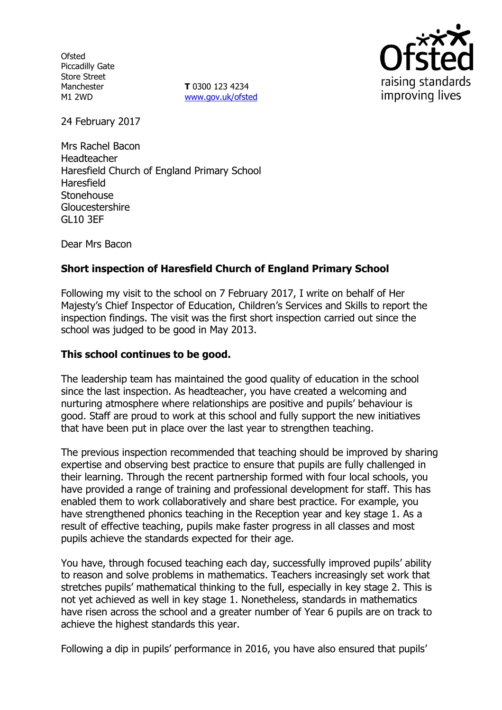**Ofsted** Piccadilly Gate Store Street Manchester M1 2WD

**T** 0300 123 4234 www.gov.uk/ofsted



24 February 2017

Mrs Rachel Bacon Headteacher Haresfield Church of England Primary School Haresfield **Stonehouse Gloucestershire** GL10 3EF

Dear Mrs Bacon

# **Short inspection of Haresfield Church of England Primary School**

Following my visit to the school on 7 February 2017, I write on behalf of Her Majesty's Chief Inspector of Education, Children's Services and Skills to report the inspection findings. The visit was the first short inspection carried out since the school was judged to be good in May 2013.

#### **This school continues to be good.**

The leadership team has maintained the good quality of education in the school since the last inspection. As headteacher, you have created a welcoming and nurturing atmosphere where relationships are positive and pupils' behaviour is good. Staff are proud to work at this school and fully support the new initiatives that have been put in place over the last year to strengthen teaching.

The previous inspection recommended that teaching should be improved by sharing expertise and observing best practice to ensure that pupils are fully challenged in their learning. Through the recent partnership formed with four local schools, you have provided a range of training and professional development for staff. This has enabled them to work collaboratively and share best practice. For example, you have strengthened phonics teaching in the Reception year and key stage 1. As a result of effective teaching, pupils make faster progress in all classes and most pupils achieve the standards expected for their age.

You have, through focused teaching each day, successfully improved pupils' ability to reason and solve problems in mathematics. Teachers increasingly set work that stretches pupils' mathematical thinking to the full, especially in key stage 2. This is not yet achieved as well in key stage 1. Nonetheless, standards in mathematics have risen across the school and a greater number of Year 6 pupils are on track to achieve the highest standards this year.

Following a dip in pupils' performance in 2016, you have also ensured that pupils'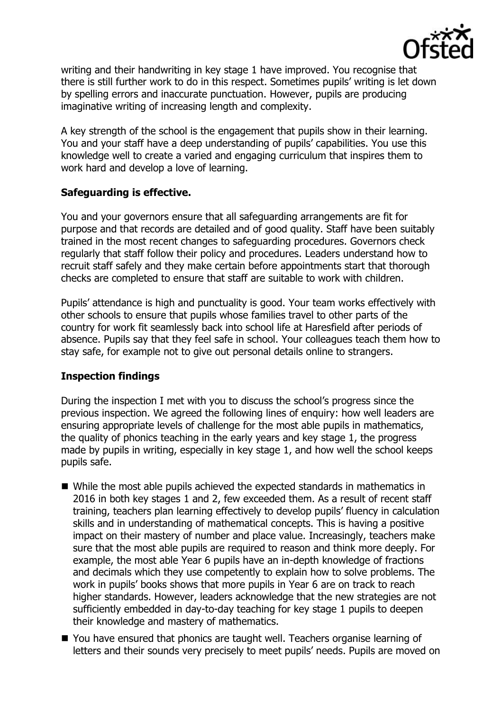

writing and their handwriting in key stage 1 have improved. You recognise that there is still further work to do in this respect. Sometimes pupils' writing is let down by spelling errors and inaccurate punctuation. However, pupils are producing imaginative writing of increasing length and complexity.

A key strength of the school is the engagement that pupils show in their learning. You and your staff have a deep understanding of pupils' capabilities. You use this knowledge well to create a varied and engaging curriculum that inspires them to work hard and develop a love of learning.

## **Safeguarding is effective.**

You and your governors ensure that all safeguarding arrangements are fit for purpose and that records are detailed and of good quality. Staff have been suitably trained in the most recent changes to safeguarding procedures. Governors check regularly that staff follow their policy and procedures. Leaders understand how to recruit staff safely and they make certain before appointments start that thorough checks are completed to ensure that staff are suitable to work with children.

Pupils' attendance is high and punctuality is good. Your team works effectively with other schools to ensure that pupils whose families travel to other parts of the country for work fit seamlessly back into school life at Haresfield after periods of absence. Pupils say that they feel safe in school. Your colleagues teach them how to stay safe, for example not to give out personal details online to strangers.

#### **Inspection findings**

During the inspection I met with you to discuss the school's progress since the previous inspection. We agreed the following lines of enquiry: how well leaders are ensuring appropriate levels of challenge for the most able pupils in mathematics, the quality of phonics teaching in the early years and key stage 1, the progress made by pupils in writing, especially in key stage 1, and how well the school keeps pupils safe.

- While the most able pupils achieved the expected standards in mathematics in 2016 in both key stages 1 and 2, few exceeded them. As a result of recent staff training, teachers plan learning effectively to develop pupils' fluency in calculation skills and in understanding of mathematical concepts. This is having a positive impact on their mastery of number and place value. Increasingly, teachers make sure that the most able pupils are required to reason and think more deeply. For example, the most able Year 6 pupils have an in-depth knowledge of fractions and decimals which they use competently to explain how to solve problems. The work in pupils' books shows that more pupils in Year 6 are on track to reach higher standards. However, leaders acknowledge that the new strategies are not sufficiently embedded in day-to-day teaching for key stage 1 pupils to deepen their knowledge and mastery of mathematics.
- You have ensured that phonics are taught well. Teachers organise learning of letters and their sounds very precisely to meet pupils' needs. Pupils are moved on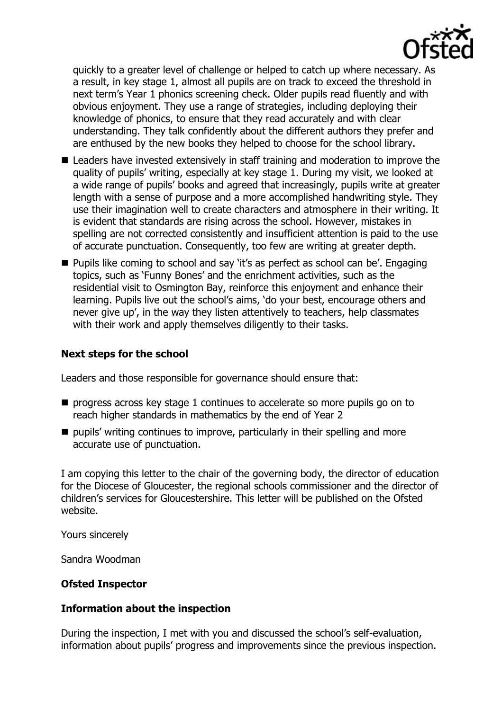

quickly to a greater level of challenge or helped to catch up where necessary. As a result, in key stage 1, almost all pupils are on track to exceed the threshold in next term's Year 1 phonics screening check. Older pupils read fluently and with obvious enjoyment. They use a range of strategies, including deploying their knowledge of phonics, to ensure that they read accurately and with clear understanding. They talk confidently about the different authors they prefer and are enthused by the new books they helped to choose for the school library.

- Leaders have invested extensively in staff training and moderation to improve the quality of pupils' writing, especially at key stage 1. During my visit, we looked at a wide range of pupils' books and agreed that increasingly, pupils write at greater length with a sense of purpose and a more accomplished handwriting style. They use their imagination well to create characters and atmosphere in their writing. It is evident that standards are rising across the school. However, mistakes in spelling are not corrected consistently and insufficient attention is paid to the use of accurate punctuation. Consequently, too few are writing at greater depth.
- Pupils like coming to school and say 'it's as perfect as school can be'. Engaging topics, such as 'Funny Bones' and the enrichment activities, such as the residential visit to Osmington Bay, reinforce this enjoyment and enhance their learning. Pupils live out the school's aims, 'do your best, encourage others and never give up', in the way they listen attentively to teachers, help classmates with their work and apply themselves diligently to their tasks.

### **Next steps for the school**

Leaders and those responsible for governance should ensure that:

- $\blacksquare$  progress across key stage 1 continues to accelerate so more pupils go on to reach higher standards in mathematics by the end of Year 2
- $\blacksquare$  pupils' writing continues to improve, particularly in their spelling and more accurate use of punctuation.

I am copying this letter to the chair of the governing body, the director of education for the Diocese of Gloucester, the regional schools commissioner and the director of children's services for Gloucestershire. This letter will be published on the Ofsted website.

Yours sincerely

Sandra Woodman

#### **Ofsted Inspector**

#### **Information about the inspection**

During the inspection, I met with you and discussed the school's self-evaluation, information about pupils' progress and improvements since the previous inspection.